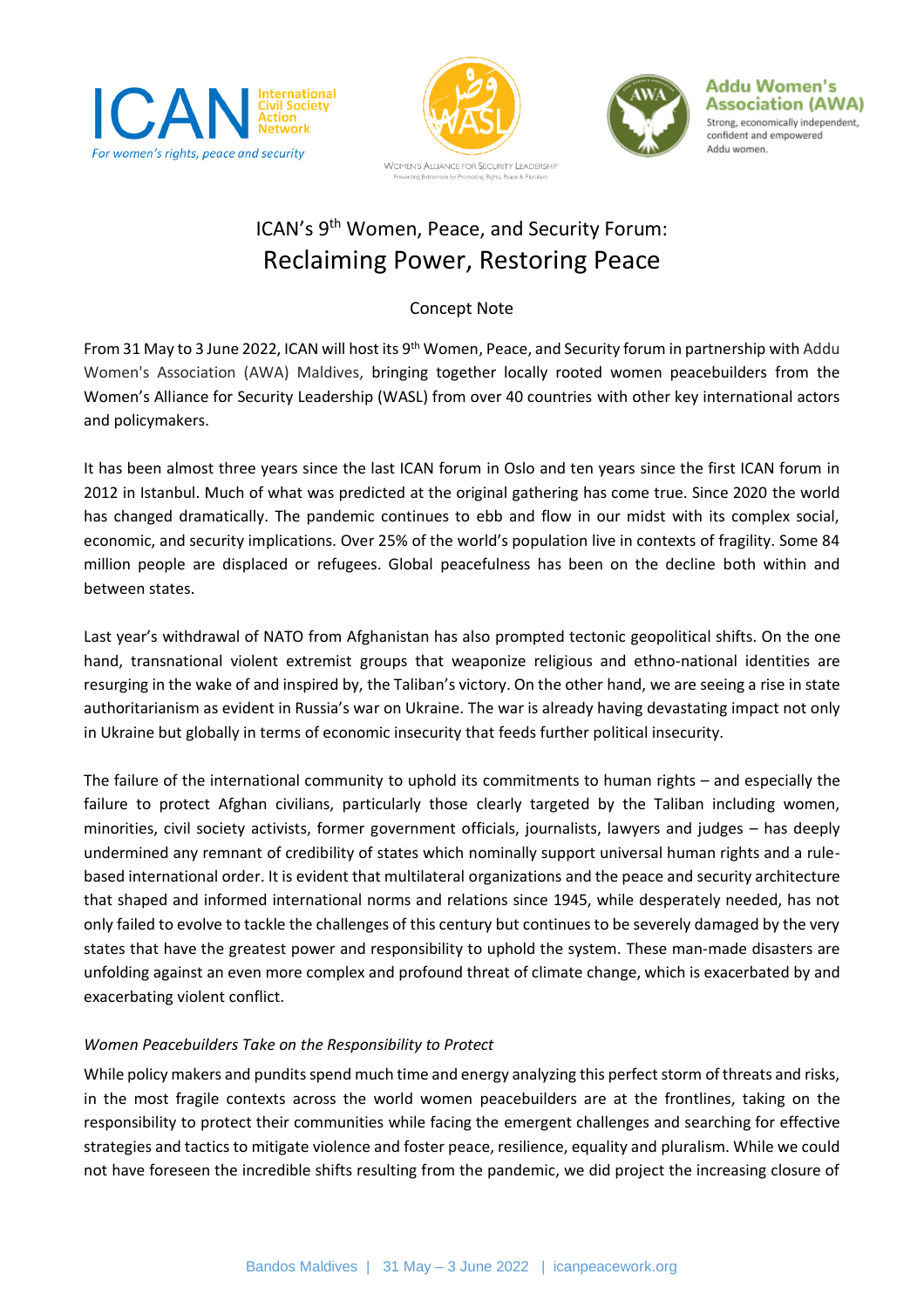







## ICAN's 9<sup>th</sup> Women, Peace, and Security Forum: Reclaiming Power, Restoring Peace

## Concept Note

From 31 May to 3 June 2022, ICAN will host its 9th Women, Peace, and Security forum in partnership with Addu Women's Association (AWA) Maldives, bringing together locally rooted women peacebuilders from the Women's Alliance for Security Leadership (WASL) from over 40 countries with other key international actors and policymakers.

It has been almost three years since the last ICAN forum in Oslo and ten years since the first ICAN forum in 2012 in Istanbul. Much of what was predicted at the original gathering has come true. Since 2020 the world has changed dramatically. The pandemic continues to ebb and flow in our midst with its complex social, economic, and security implications. Over 25% of the world's population live in contexts of fragility. Some 84 million people are displaced or refugees. Global peacefulness has been on the decline both within and between states.

Last year's withdrawal of NATO from Afghanistan has also prompted tectonic geopolitical shifts. On the one hand, transnational violent extremist groups that weaponize religious and ethno-national identities are resurging in the wake of and inspired by, the Taliban's victory. On the other hand, we are seeing a rise in state authoritarianism as evident in Russia's war on Ukraine. The war is already having devastating impact not only in Ukraine but globally in terms of economic insecurity that feeds further political insecurity.

The failure of the international community to uphold its commitments to human rights – and especially the failure to protect Afghan civilians, particularly those clearly targeted by the Taliban including women, minorities, civil society activists, former government officials, journalists, lawyers and judges – has deeply undermined any remnant of credibility of states which nominally support universal human rights and a rulebased international order. It is evident that multilateral organizations and the peace and security architecture that shaped and informed international norms and relations since 1945, while desperately needed, has not only failed to evolve to tackle the challenges of this century but continues to be severely damaged by the very states that have the greatest power and responsibility to uphold the system. These man-made disasters are unfolding against an even more complex and profound threat of climate change, which is exacerbated by and exacerbating violent conflict.

## *Women Peacebuilders Take on the Responsibility to Protect*

While policy makers and pundits spend much time and energy analyzing this perfect storm of threats and risks, in the most fragile contexts across the world women peacebuilders are at the frontlines, taking on the responsibility to protect their communities while facing the emergent challenges and searching for effective strategies and tactics to mitigate violence and foster peace, resilience, equality and pluralism. While we could not have foreseen the incredible shifts resulting from the pandemic, we did project the increasing closure of